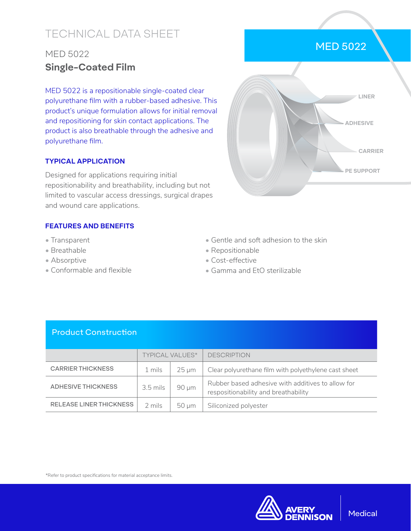# TECHNICAL DATA SHEET

# MED 5022 **Single-Coated Film**

MED 5022 is a repositionable single-coated clear polyurethane film with a rubber-based adhesive. This product's unique formulation allows for initial removal and repositioning for skin contact applications. The product is also breathable through the adhesive and polyurethane film.

#### **TYPICAL APPLICATION**

Designed for applications requiring initial repositionability and breathability, including but not limited to vascular access dressings, surgical drapes and wound care applications.

### **FEATURES AND BENEFITS**

- Transparent
- Breathable
- Absorptive
- Conformable and flexible
- Gentle and soft adhesion to the skin
- Repositionable
- Cost-effective
- Gamma and EtO sterilizable

## Product Construction

|                           | <b>TYPICAL VALUES*</b> |                 | <b>DESCRIPTION</b>                                                                        |
|---------------------------|------------------------|-----------------|-------------------------------------------------------------------------------------------|
| <b>CARRIER THICKNESS</b>  | 1 mils                 | $25 \text{ µm}$ | Clear polyurethane film with polyethylene cast sheet                                      |
| <b>ADHESIVE THICKNESS</b> | $3.5$ mils             | $90 \mu m$      | Rubber based adhesive with additives to allow for<br>respositionability and breathability |
| RELEASE LINER THICKNESS   | 2 mils                 | $50 \mu m$      | Siliconized polyester                                                                     |

\*Refer to product specifications for material acceptance limits.